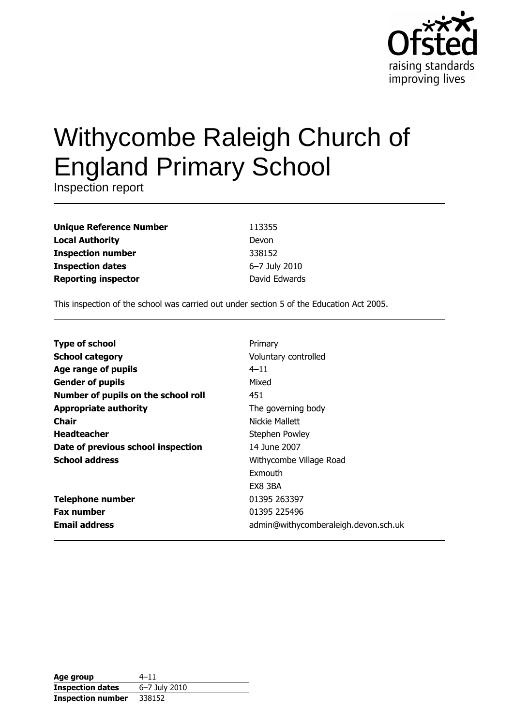

# Withycombe Raleigh Church of **England Primary School**

Inspection report

| <b>Unique Reference Number</b> |   |
|--------------------------------|---|
| <b>Local Authority</b>         |   |
| <b>Inspection number</b>       | З |
| <b>Inspection dates</b>        | ŕ |
| <b>Reporting inspector</b>     |   |

13355 **Devon** 338152 5-7 July 2010 David Edwards

This inspection of the school was carried out under section 5 of the Education Act 2005.

| <b>Type of school</b>               | Primary                              |
|-------------------------------------|--------------------------------------|
| <b>School category</b>              | Voluntary controlled                 |
| Age range of pupils                 | $4 - 11$                             |
| <b>Gender of pupils</b>             | Mixed                                |
| Number of pupils on the school roll | 451                                  |
| <b>Appropriate authority</b>        | The governing body                   |
| Chair                               | Nickie Mallett                       |
| <b>Headteacher</b>                  | Stephen Powley                       |
| Date of previous school inspection  | 14 June 2007                         |
| <b>School address</b>               | Withycombe Village Road              |
|                                     | Exmouth                              |
|                                     | EX8 3BA                              |
| <b>Telephone number</b>             | 01395 263397                         |
| <b>Fax number</b>                   | 01395 225496                         |
| <b>Email address</b>                | admin@withycomberaleigh.devon.sch.uk |

| Age group                | 4–11          |
|--------------------------|---------------|
| <b>Inspection dates</b>  | 6-7 July 2010 |
| <b>Inspection number</b> | 338152        |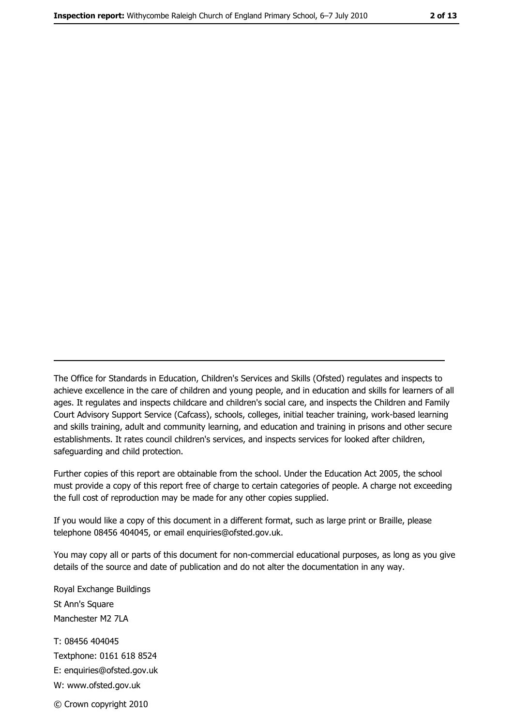The Office for Standards in Education, Children's Services and Skills (Ofsted) regulates and inspects to achieve excellence in the care of children and young people, and in education and skills for learners of all ages. It regulates and inspects childcare and children's social care, and inspects the Children and Family Court Advisory Support Service (Cafcass), schools, colleges, initial teacher training, work-based learning and skills training, adult and community learning, and education and training in prisons and other secure establishments. It rates council children's services, and inspects services for looked after children, safequarding and child protection.

Further copies of this report are obtainable from the school. Under the Education Act 2005, the school must provide a copy of this report free of charge to certain categories of people. A charge not exceeding the full cost of reproduction may be made for any other copies supplied.

If you would like a copy of this document in a different format, such as large print or Braille, please telephone 08456 404045, or email enquiries@ofsted.gov.uk.

You may copy all or parts of this document for non-commercial educational purposes, as long as you give details of the source and date of publication and do not alter the documentation in any way.

Royal Exchange Buildings St Ann's Square Manchester M2 7LA T: 08456 404045 Textphone: 0161 618 8524 E: enquiries@ofsted.gov.uk W: www.ofsted.gov.uk © Crown copyright 2010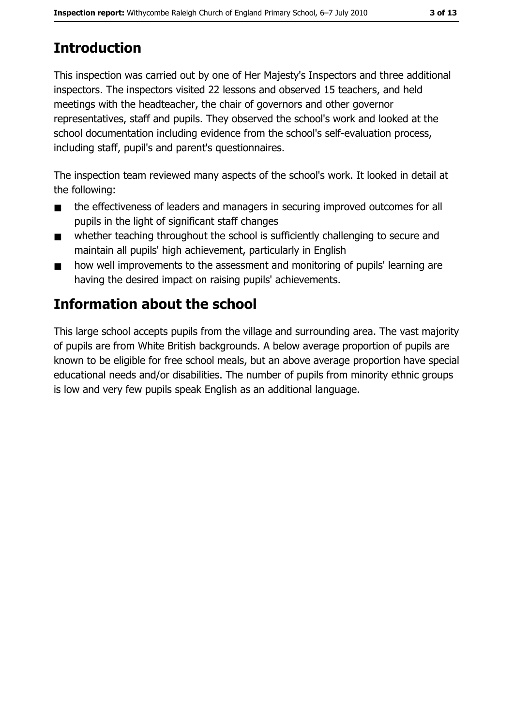# **Introduction**

This inspection was carried out by one of Her Majesty's Inspectors and three additional inspectors. The inspectors visited 22 lessons and observed 15 teachers, and held meetings with the headteacher, the chair of governors and other governor representatives, staff and pupils. They observed the school's work and looked at the school documentation including evidence from the school's self-evaluation process, including staff, pupil's and parent's questionnaires.

The inspection team reviewed many aspects of the school's work. It looked in detail at the following:

- the effectiveness of leaders and managers in securing improved outcomes for all  $\blacksquare$ pupils in the light of significant staff changes
- whether teaching throughout the school is sufficiently challenging to secure and  $\blacksquare$ maintain all pupils' high achievement, particularly in English
- how well improvements to the assessment and monitoring of pupils' learning are  $\blacksquare$ having the desired impact on raising pupils' achievements.

# **Information about the school**

This large school accepts pupils from the village and surrounding area. The vast majority of pupils are from White British backgrounds. A below average proportion of pupils are known to be eligible for free school meals, but an above average proportion have special educational needs and/or disabilities. The number of pupils from minority ethnic groups is low and very few pupils speak English as an additional language.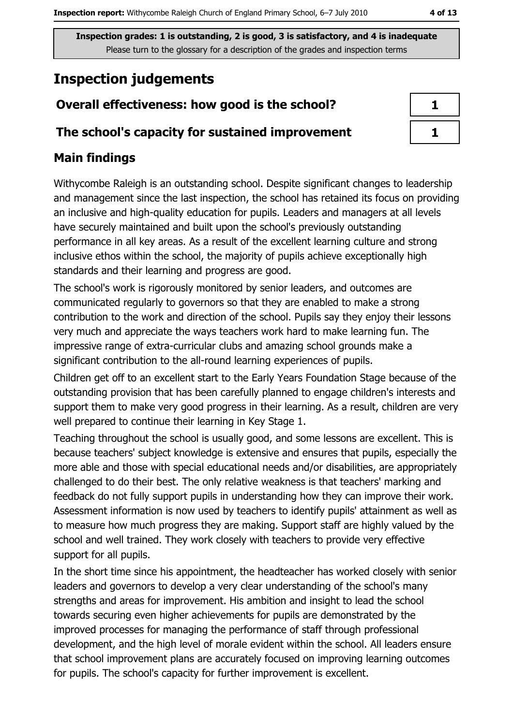Please turn to the glossary for a description of the grades and inspection terms

# **Inspection judgements**

# Overall effectiveness: how good is the school?

## The school's capacity for sustained improvement

# **Main findings**

Withycombe Raleigh is an outstanding school. Despite significant changes to leadership and management since the last inspection, the school has retained its focus on providing an inclusive and high-quality education for pupils. Leaders and managers at all levels have securely maintained and built upon the school's previously outstanding performance in all key areas. As a result of the excellent learning culture and strong inclusive ethos within the school, the majority of pupils achieve exceptionally high standards and their learning and progress are good.

The school's work is rigorously monitored by senior leaders, and outcomes are communicated regularly to governors so that they are enabled to make a strong contribution to the work and direction of the school. Pupils say they enjoy their lessons very much and appreciate the ways teachers work hard to make learning fun. The impressive range of extra-curricular clubs and amazing school grounds make a significant contribution to the all-round learning experiences of pupils.

Children get off to an excellent start to the Early Years Foundation Stage because of the outstanding provision that has been carefully planned to engage children's interests and support them to make very good progress in their learning. As a result, children are very well prepared to continue their learning in Key Stage 1.

Teaching throughout the school is usually good, and some lessons are excellent. This is because teachers' subject knowledge is extensive and ensures that pupils, especially the more able and those with special educational needs and/or disabilities, are appropriately challenged to do their best. The only relative weakness is that teachers' marking and feedback do not fully support pupils in understanding how they can improve their work. Assessment information is now used by teachers to identify pupils' attainment as well as to measure how much progress they are making. Support staff are highly valued by the school and well trained. They work closely with teachers to provide very effective support for all pupils.

In the short time since his appointment, the headteacher has worked closely with senior leaders and governors to develop a very clear understanding of the school's many strengths and areas for improvement. His ambition and insight to lead the school towards securing even higher achievements for pupils are demonstrated by the improved processes for managing the performance of staff through professional development, and the high level of morale evident within the school. All leaders ensure that school improvement plans are accurately focused on improving learning outcomes for pupils. The school's capacity for further improvement is excellent.

| ٦ |  |
|---|--|
|   |  |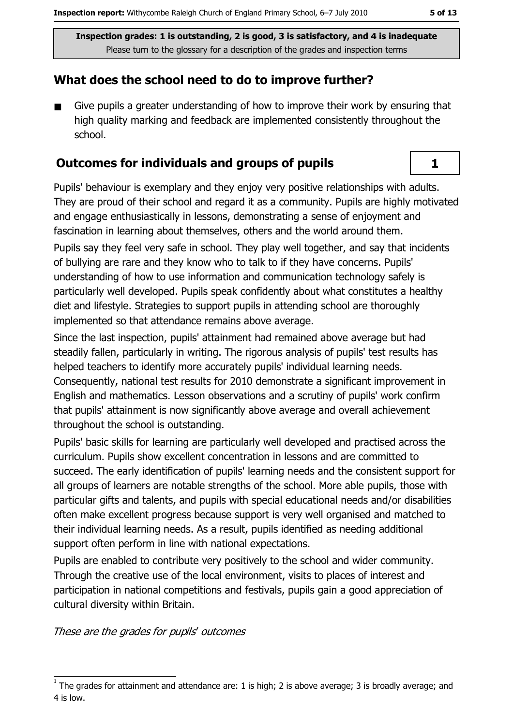# What does the school need to do to improve further?

Give pupils a greater understanding of how to improve their work by ensuring that  $\blacksquare$ high quality marking and feedback are implemented consistently throughout the school.

### **Outcomes for individuals and groups of pupils**

Pupils' behaviour is exemplary and they enjoy very positive relationships with adults. They are proud of their school and regard it as a community. Pupils are highly motivated and engage enthusiastically in lessons, demonstrating a sense of enjoyment and fascination in learning about themselves, others and the world around them.

Pupils say they feel very safe in school. They play well together, and say that incidents of bullying are rare and they know who to talk to if they have concerns. Pupils' understanding of how to use information and communication technology safely is particularly well developed. Pupils speak confidently about what constitutes a healthy diet and lifestyle. Strategies to support pupils in attending school are thoroughly implemented so that attendance remains above average.

Since the last inspection, pupils' attainment had remained above average but had steadily fallen, particularly in writing. The rigorous analysis of pupils' test results has helped teachers to identify more accurately pupils' individual learning needs. Consequently, national test results for 2010 demonstrate a significant improvement in English and mathematics. Lesson observations and a scrutiny of pupils' work confirm that pupils' attainment is now significantly above average and overall achievement throughout the school is outstanding.

Pupils' basic skills for learning are particularly well developed and practised across the curriculum. Pupils show excellent concentration in lessons and are committed to succeed. The early identification of pupils' learning needs and the consistent support for all groups of learners are notable strengths of the school. More able pupils, those with particular gifts and talents, and pupils with special educational needs and/or disabilities often make excellent progress because support is very well organised and matched to their individual learning needs. As a result, pupils identified as needing additional support often perform in line with national expectations.

Pupils are enabled to contribute very positively to the school and wider community. Through the creative use of the local environment, visits to places of interest and participation in national competitions and festivals, pupils gain a good appreciation of cultural diversity within Britain.

These are the grades for pupils' outcomes

 $\mathbf{1}$ 

The grades for attainment and attendance are: 1 is high; 2 is above average; 3 is broadly average; and 4 is low.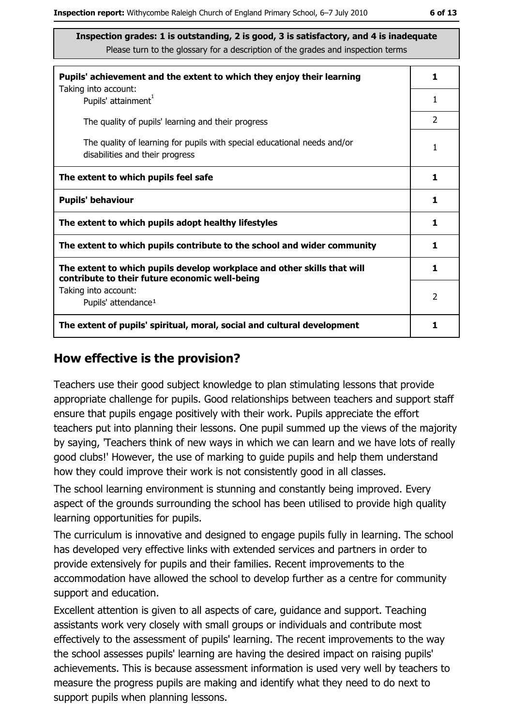| Pupils' achievement and the extent to which they enjoy their learning                                                     | 1              |
|---------------------------------------------------------------------------------------------------------------------------|----------------|
| Taking into account:<br>Pupils' attainment <sup>1</sup>                                                                   | 1              |
| The quality of pupils' learning and their progress                                                                        | 2              |
| The quality of learning for pupils with special educational needs and/or<br>disabilities and their progress               | 1              |
| The extent to which pupils feel safe                                                                                      | 1              |
| <b>Pupils' behaviour</b>                                                                                                  | 1              |
| The extent to which pupils adopt healthy lifestyles                                                                       | 1              |
| The extent to which pupils contribute to the school and wider community                                                   | 1              |
| The extent to which pupils develop workplace and other skills that will<br>contribute to their future economic well-being | 1              |
| Taking into account:<br>Pupils' attendance <sup>1</sup>                                                                   | $\overline{2}$ |
| The extent of pupils' spiritual, moral, social and cultural development                                                   | 1              |

#### How effective is the provision?

Teachers use their good subject knowledge to plan stimulating lessons that provide appropriate challenge for pupils. Good relationships between teachers and support staff ensure that pupils engage positively with their work. Pupils appreciate the effort teachers put into planning their lessons. One pupil summed up the views of the majority by saying, 'Teachers think of new ways in which we can learn and we have lots of really good clubs!' However, the use of marking to quide pupils and help them understand how they could improve their work is not consistently good in all classes.

The school learning environment is stunning and constantly being improved. Every aspect of the grounds surrounding the school has been utilised to provide high quality learning opportunities for pupils.

The curriculum is innovative and designed to engage pupils fully in learning. The school has developed very effective links with extended services and partners in order to provide extensively for pupils and their families. Recent improvements to the accommodation have allowed the school to develop further as a centre for community support and education.

Excellent attention is given to all aspects of care, guidance and support. Teaching assistants work very closely with small groups or individuals and contribute most effectively to the assessment of pupils' learning. The recent improvements to the way the school assesses pupils' learning are having the desired impact on raising pupils' achievements. This is because assessment information is used very well by teachers to measure the progress pupils are making and identify what they need to do next to support pupils when planning lessons.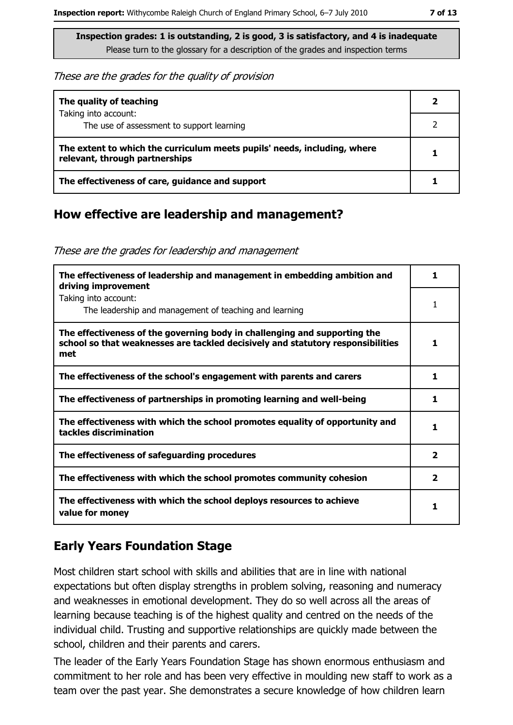#### These are the grades for the quality of provision

| The quality of teaching                                                                                    |   |
|------------------------------------------------------------------------------------------------------------|---|
| Taking into account:<br>The use of assessment to support learning                                          |   |
| The extent to which the curriculum meets pupils' needs, including, where<br>relevant, through partnerships | 1 |
| The effectiveness of care, guidance and support                                                            |   |

#### How effective are leadership and management?

These are the grades for leadership and management

| The effectiveness of leadership and management in embedding ambition and<br>driving improvement                                                                     |                         |
|---------------------------------------------------------------------------------------------------------------------------------------------------------------------|-------------------------|
| Taking into account:<br>The leadership and management of teaching and learning                                                                                      | 1                       |
| The effectiveness of the governing body in challenging and supporting the<br>school so that weaknesses are tackled decisively and statutory responsibilities<br>met |                         |
| The effectiveness of the school's engagement with parents and carers                                                                                                | 1                       |
| The effectiveness of partnerships in promoting learning and well-being                                                                                              | 1                       |
| The effectiveness with which the school promotes equality of opportunity and<br>tackles discrimination                                                              |                         |
| The effectiveness of safeguarding procedures                                                                                                                        | $\overline{\mathbf{2}}$ |
| The effectiveness with which the school promotes community cohesion                                                                                                 | $\mathbf{2}$            |
| The effectiveness with which the school deploys resources to achieve<br>value for money                                                                             |                         |

## **Early Years Foundation Stage**

Most children start school with skills and abilities that are in line with national expectations but often display strengths in problem solving, reasoning and numeracy and weaknesses in emotional development. They do so well across all the areas of learning because teaching is of the highest quality and centred on the needs of the individual child. Trusting and supportive relationships are quickly made between the school, children and their parents and carers.

The leader of the Early Years Foundation Stage has shown enormous enthusiasm and commitment to her role and has been very effective in moulding new staff to work as a team over the past year. She demonstrates a secure knowledge of how children learn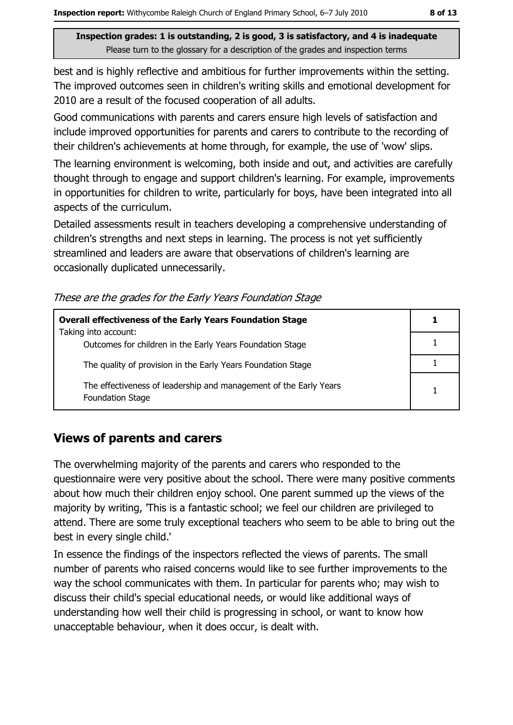best and is highly reflective and ambitious for further improvements within the setting. The improved outcomes seen in children's writing skills and emotional development for 2010 are a result of the focused cooperation of all adults.

Good communications with parents and carers ensure high levels of satisfaction and include improved opportunities for parents and carers to contribute to the recording of their children's achievements at home through, for example, the use of 'wow' slips.

The learning environment is welcoming, both inside and out, and activities are carefully thought through to engage and support children's learning. For example, improvements in opportunities for children to write, particularly for boys, have been integrated into all aspects of the curriculum.

Detailed assessments result in teachers developing a comprehensive understanding of children's strengths and next steps in learning. The process is not yet sufficiently streamlined and leaders are aware that observations of children's learning are occasionally duplicated unnecessarily.

| <b>Overall effectiveness of the Early Years Foundation Stage</b><br>Taking into account:     |  |  |
|----------------------------------------------------------------------------------------------|--|--|
|                                                                                              |  |  |
| Outcomes for children in the Early Years Foundation Stage                                    |  |  |
| The quality of provision in the Early Years Foundation Stage                                 |  |  |
|                                                                                              |  |  |
| The effectiveness of leadership and management of the Early Years<br><b>Foundation Stage</b> |  |  |

These are the grades for the Early Years Foundation Stage

## **Views of parents and carers**

The overwhelming majority of the parents and carers who responded to the questionnaire were very positive about the school. There were many positive comments about how much their children enjoy school. One parent summed up the views of the majority by writing, This is a fantastic school; we feel our children are privileged to attend. There are some truly exceptional teachers who seem to be able to bring out the best in every single child."

In essence the findings of the inspectors reflected the views of parents. The small number of parents who raised concerns would like to see further improvements to the way the school communicates with them. In particular for parents who; may wish to discuss their child's special educational needs, or would like additional ways of understanding how well their child is progressing in school, or want to know how unacceptable behaviour, when it does occur, is dealt with.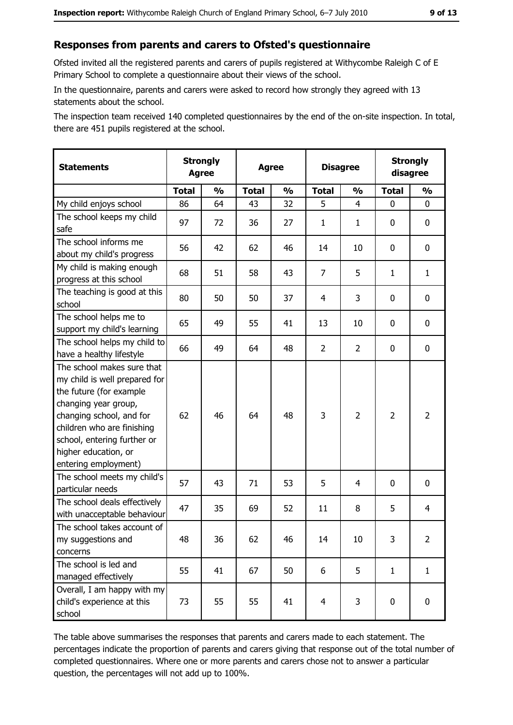# Responses from parents and carers to Ofsted's questionnaire

Ofsted invited all the registered parents and carers of pupils registered at Withycombe Raleigh C of E Primary School to complete a questionnaire about their views of the school.

In the questionnaire, parents and carers were asked to record how strongly they agreed with 13 statements about the school.

The inspection team received 140 completed questionnaires by the end of the on-site inspection. In total, there are 451 pupils registered at the school.

| <b>Statements</b>                                                                                                                                                                                                                                       | <b>Strongly</b><br><b>Agree</b> |               | <b>Agree</b> |               | <b>Disagree</b> |                | <b>Strongly</b><br>disagree |                |
|---------------------------------------------------------------------------------------------------------------------------------------------------------------------------------------------------------------------------------------------------------|---------------------------------|---------------|--------------|---------------|-----------------|----------------|-----------------------------|----------------|
|                                                                                                                                                                                                                                                         | <b>Total</b>                    | $\frac{1}{2}$ | <b>Total</b> | $\frac{0}{0}$ | <b>Total</b>    | $\frac{0}{0}$  | <b>Total</b>                | $\frac{1}{2}$  |
| My child enjoys school                                                                                                                                                                                                                                  | 86                              | 64            | 43           | 32            | 5               | 4              | 0                           | 0              |
| The school keeps my child<br>safe                                                                                                                                                                                                                       | 97                              | 72            | 36           | 27            | $\mathbf{1}$    | $\mathbf{1}$   | 0                           | 0              |
| The school informs me<br>about my child's progress                                                                                                                                                                                                      | 56                              | 42            | 62           | 46            | 14              | 10             | 0                           | 0              |
| My child is making enough<br>progress at this school                                                                                                                                                                                                    | 68                              | 51            | 58           | 43            | $\overline{7}$  | 5              | 1                           | $\mathbf{1}$   |
| The teaching is good at this<br>school                                                                                                                                                                                                                  | 80                              | 50            | 50           | 37            | 4               | 3              | 0                           | 0              |
| The school helps me to<br>support my child's learning                                                                                                                                                                                                   | 65                              | 49            | 55           | 41            | 13              | 10             | 0                           | 0              |
| The school helps my child to<br>have a healthy lifestyle                                                                                                                                                                                                | 66                              | 49            | 64           | 48            | $\overline{2}$  | $\overline{2}$ | 0                           | 0              |
| The school makes sure that<br>my child is well prepared for<br>the future (for example<br>changing year group,<br>changing school, and for<br>children who are finishing<br>school, entering further or<br>higher education, or<br>entering employment) | 62                              | 46            | 64           | 48            | 3               | $\overline{2}$ | $\overline{2}$              | $\overline{2}$ |
| The school meets my child's<br>particular needs                                                                                                                                                                                                         | 57                              | 43            | 71           | 53            | 5               | 4              | 0                           | 0              |
| The school deals effectively<br>with unacceptable behaviour                                                                                                                                                                                             | 47                              | 35            | 69           | 52            | 11              | 8              | 5                           | $\overline{4}$ |
| The school takes account of<br>my suggestions and<br>concerns                                                                                                                                                                                           | 48                              | 36            | 62           | 46            | 14              | 10             | 3                           | $\overline{2}$ |
| The school is led and<br>managed effectively                                                                                                                                                                                                            | 55                              | 41            | 67           | 50            | 6               | 5              | $\mathbf{1}$                | $\mathbf{1}$   |
| Overall, I am happy with my<br>child's experience at this<br>school                                                                                                                                                                                     | 73                              | 55            | 55           | 41            | $\overline{4}$  | 3              | $\mathbf 0$                 | 0              |

The table above summarises the responses that parents and carers made to each statement. The percentages indicate the proportion of parents and carers giving that response out of the total number of completed questionnaires. Where one or more parents and carers chose not to answer a particular question, the percentages will not add up to 100%.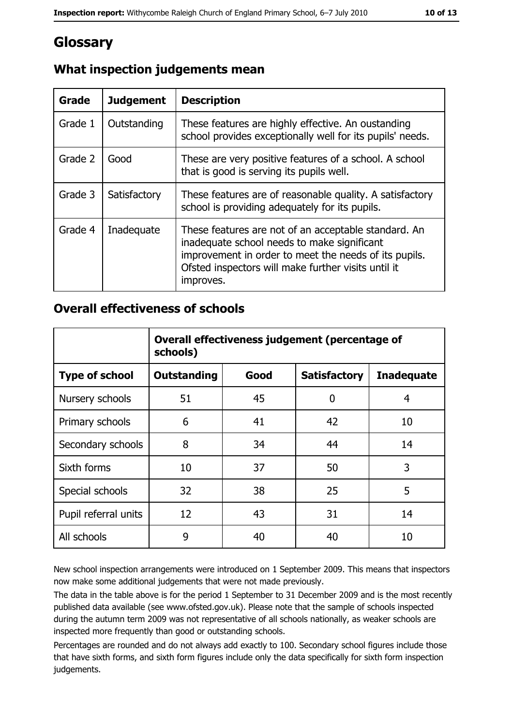# **Glossary**

| <b>Grade</b> | <b>Judgement</b> | <b>Description</b>                                                                                                                                                                                                               |
|--------------|------------------|----------------------------------------------------------------------------------------------------------------------------------------------------------------------------------------------------------------------------------|
| Grade 1      | Outstanding      | These features are highly effective. An oustanding<br>school provides exceptionally well for its pupils' needs.                                                                                                                  |
| Grade 2      | Good             | These are very positive features of a school. A school<br>that is good is serving its pupils well.                                                                                                                               |
| Grade 3      | Satisfactory     | These features are of reasonable quality. A satisfactory<br>school is providing adequately for its pupils.                                                                                                                       |
| Grade 4      | Inadequate       | These features are not of an acceptable standard. An<br>inadequate school needs to make significant<br>improvement in order to meet the needs of its pupils.<br>Ofsted inspectors will make further visits until it<br>improves. |

# What inspection judgements mean

### **Overall effectiveness of schools**

|                       | Overall effectiveness judgement (percentage of<br>schools) |      |                     |                   |
|-----------------------|------------------------------------------------------------|------|---------------------|-------------------|
| <b>Type of school</b> | <b>Outstanding</b>                                         | Good | <b>Satisfactory</b> | <b>Inadequate</b> |
| Nursery schools       | 51                                                         | 45   | 0                   | 4                 |
| Primary schools       | 6                                                          | 41   | 42                  | 10                |
| Secondary schools     | 8                                                          | 34   | 44                  | 14                |
| Sixth forms           | 10                                                         | 37   | 50                  | 3                 |
| Special schools       | 32                                                         | 38   | 25                  | 5                 |
| Pupil referral units  | 12                                                         | 43   | 31                  | 14                |
| All schools           | 9                                                          | 40   | 40                  | 10                |

New school inspection arrangements were introduced on 1 September 2009. This means that inspectors now make some additional judgements that were not made previously.

The data in the table above is for the period 1 September to 31 December 2009 and is the most recently published data available (see www.ofsted.gov.uk). Please note that the sample of schools inspected during the autumn term 2009 was not representative of all schools nationally, as weaker schools are inspected more frequently than good or outstanding schools.

Percentages are rounded and do not always add exactly to 100. Secondary school figures include those that have sixth forms, and sixth form figures include only the data specifically for sixth form inspection judgements.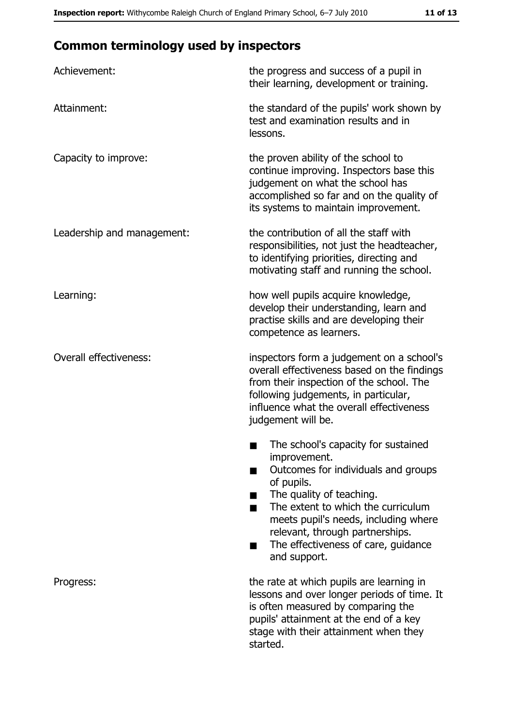# **Common terminology used by inspectors**

| Achievement:                  | the progress and success of a pupil in<br>their learning, development or training.                                                                                                                                                                                                                           |
|-------------------------------|--------------------------------------------------------------------------------------------------------------------------------------------------------------------------------------------------------------------------------------------------------------------------------------------------------------|
| Attainment:                   | the standard of the pupils' work shown by<br>test and examination results and in<br>lessons.                                                                                                                                                                                                                 |
| Capacity to improve:          | the proven ability of the school to<br>continue improving. Inspectors base this<br>judgement on what the school has<br>accomplished so far and on the quality of<br>its systems to maintain improvement.                                                                                                     |
| Leadership and management:    | the contribution of all the staff with<br>responsibilities, not just the headteacher,<br>to identifying priorities, directing and<br>motivating staff and running the school.                                                                                                                                |
| Learning:                     | how well pupils acquire knowledge,<br>develop their understanding, learn and<br>practise skills and are developing their<br>competence as learners.                                                                                                                                                          |
| <b>Overall effectiveness:</b> | inspectors form a judgement on a school's<br>overall effectiveness based on the findings<br>from their inspection of the school. The<br>following judgements, in particular,<br>influence what the overall effectiveness<br>judgement will be.                                                               |
|                               | The school's capacity for sustained<br>improvement.<br>Outcomes for individuals and groups<br>of pupils.<br>The quality of teaching.<br>The extent to which the curriculum<br>meets pupil's needs, including where<br>relevant, through partnerships.<br>The effectiveness of care, guidance<br>and support. |
| Progress:                     | the rate at which pupils are learning in<br>lessons and over longer periods of time. It<br>is often measured by comparing the<br>pupils' attainment at the end of a key<br>stage with their attainment when they<br>started.                                                                                 |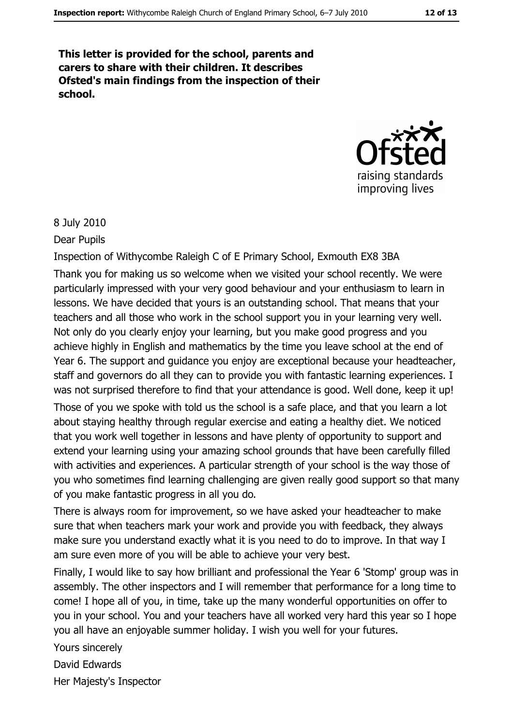This letter is provided for the school, parents and carers to share with their children. It describes Ofsted's main findings from the inspection of their school.



#### 8 July 2010

Dear Pupils

Inspection of Withycombe Raleigh C of E Primary School, Exmouth EX8 3BA Thank you for making us so welcome when we visited your school recently. We were particularly impressed with your very good behaviour and your enthusiasm to learn in lessons. We have decided that yours is an outstanding school. That means that your teachers and all those who work in the school support you in your learning very well. Not only do you clearly enjoy your learning, but you make good progress and you achieve highly in English and mathematics by the time you leave school at the end of Year 6. The support and guidance you enjoy are exceptional because your headteacher, staff and governors do all they can to provide you with fantastic learning experiences. I was not surprised therefore to find that your attendance is good. Well done, keep it up! Those of you we spoke with told us the school is a safe place, and that you learn a lot about staying healthy through regular exercise and eating a healthy diet. We noticed that you work well together in lessons and have plenty of opportunity to support and extend your learning using your amazing school grounds that have been carefully filled with activities and experiences. A particular strength of your school is the way those of you who sometimes find learning challenging are given really good support so that many of you make fantastic progress in all you do.

There is always room for improvement, so we have asked your headteacher to make sure that when teachers mark your work and provide you with feedback, they always make sure you understand exactly what it is you need to do to improve. In that way I am sure even more of you will be able to achieve your very best.

Finally, I would like to say how brilliant and professional the Year 6 'Stomp' group was in assembly. The other inspectors and I will remember that performance for a long time to come! I hope all of you, in time, take up the many wonderful opportunities on offer to you in your school. You and your teachers have all worked very hard this year so I hope you all have an enjoyable summer holiday. I wish you well for your futures.

Yours sincerely

David Edwards

Her Majesty's Inspector